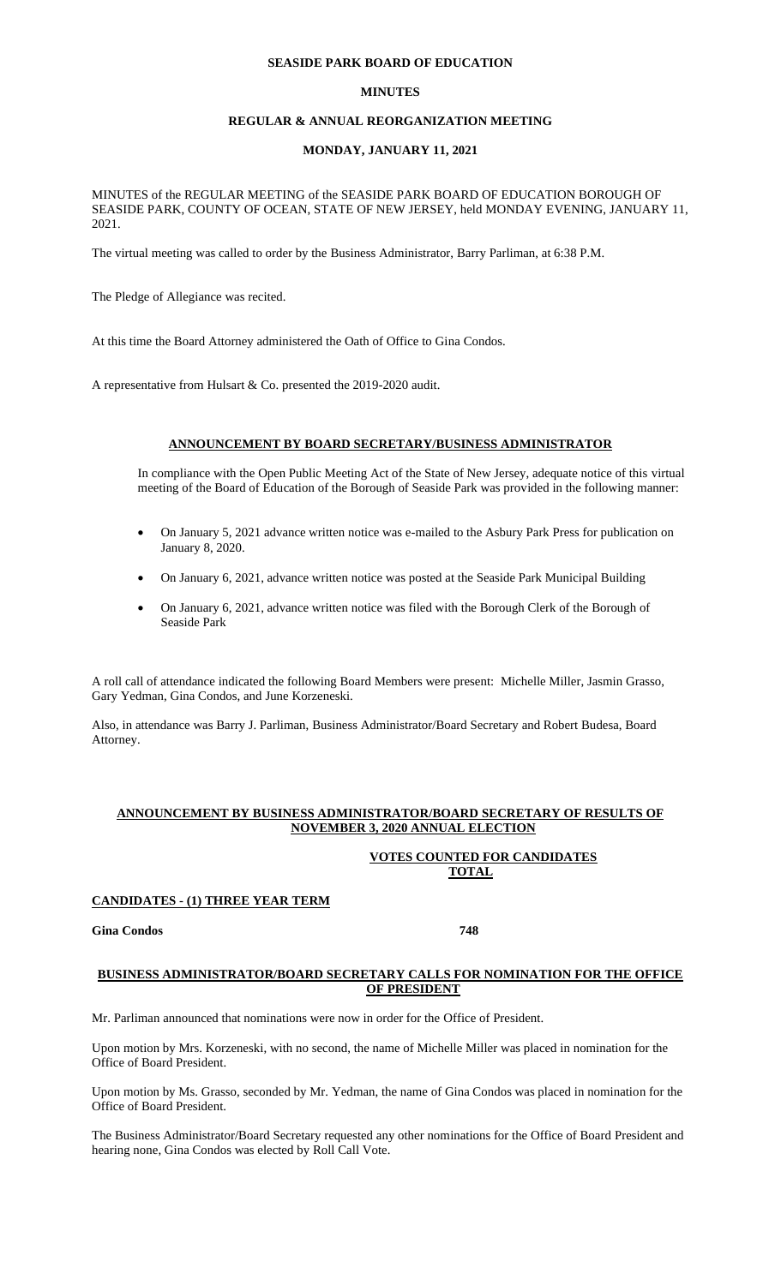## **SEASIDE PARK BOARD OF EDUCATION**

### **MINUTES**

## **REGULAR & ANNUAL REORGANIZATION MEETING**

## **MONDAY, JANUARY 11, 2021**

MINUTES of the REGULAR MEETING of the SEASIDE PARK BOARD OF EDUCATION BOROUGH OF SEASIDE PARK, COUNTY OF OCEAN, STATE OF NEW JERSEY, held MONDAY EVENING, JANUARY 11, 2021.

The virtual meeting was called to order by the Business Administrator, Barry Parliman, at 6:38 P.M.

The Pledge of Allegiance was recited.

At this time the Board Attorney administered the Oath of Office to Gina Condos.

A representative from Hulsart & Co. presented the 2019-2020 audit.

#### **ANNOUNCEMENT BY BOARD SECRETARY/BUSINESS ADMINISTRATOR**

In compliance with the Open Public Meeting Act of the State of New Jersey, adequate notice of this virtual meeting of the Board of Education of the Borough of Seaside Park was provided in the following manner:

- On January 5, 2021 advance written notice was e-mailed to the Asbury Park Press for publication on January 8, 2020.
- On January 6, 2021, advance written notice was posted at the Seaside Park Municipal Building
- On January 6, 2021, advance written notice was filed with the Borough Clerk of the Borough of Seaside Park

A roll call of attendance indicated the following Board Members were present: Michelle Miller, Jasmin Grasso, Gary Yedman, Gina Condos, and June Korzeneski.

Also, in attendance was Barry J. Parliman, Business Administrator/Board Secretary and Robert Budesa, Board Attorney.

### **ANNOUNCEMENT BY BUSINESS ADMINISTRATOR/BOARD SECRETARY OF RESULTS OF NOVEMBER 3, 2020 ANNUAL ELECTION**

## **VOTES COUNTED FOR CANDIDATES TOTAL**

#### **CANDIDATES - (1) THREE YEAR TERM**

## **Gina Condos 748**

### **BUSINESS ADMINISTRATOR/BOARD SECRETARY CALLS FOR NOMINATION FOR THE OFFICE OF PRESIDENT**

Mr. Parliman announced that nominations were now in order for the Office of President.

Upon motion by Mrs. Korzeneski, with no second, the name of Michelle Miller was placed in nomination for the Office of Board President.

Upon motion by Ms. Grasso, seconded by Mr. Yedman, the name of Gina Condos was placed in nomination for the Office of Board President.

The Business Administrator/Board Secretary requested any other nominations for the Office of Board President and hearing none, Gina Condos was elected by Roll Call Vote.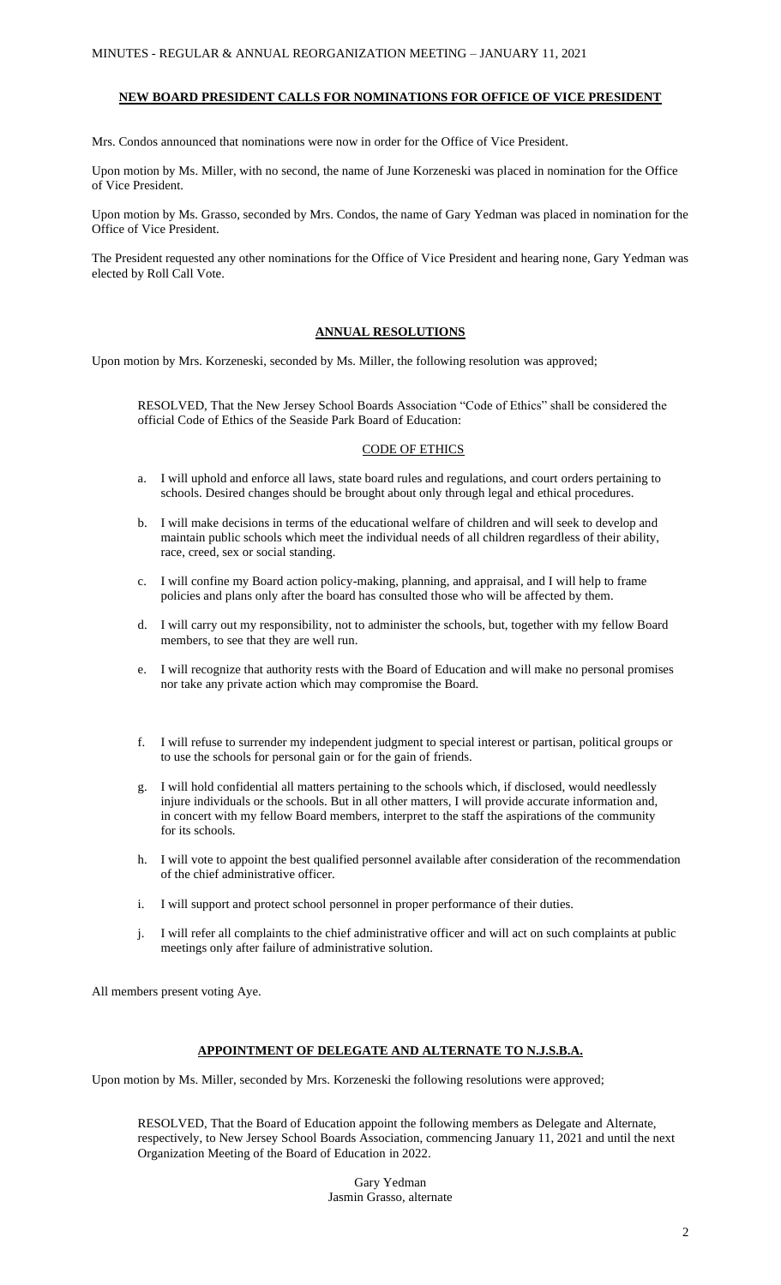### **NEW BOARD PRESIDENT CALLS FOR NOMINATIONS FOR OFFICE OF VICE PRESIDENT**

Mrs. Condos announced that nominations were now in order for the Office of Vice President.

Upon motion by Ms. Miller, with no second, the name of June Korzeneski was placed in nomination for the Office of Vice President.

Upon motion by Ms. Grasso, seconded by Mrs. Condos, the name of Gary Yedman was placed in nomination for the Office of Vice President.

The President requested any other nominations for the Office of Vice President and hearing none, Gary Yedman was elected by Roll Call Vote.

## **ANNUAL RESOLUTIONS**

Upon motion by Mrs. Korzeneski, seconded by Ms. Miller, the following resolution was approved;

RESOLVED, That the New Jersey School Boards Association "Code of Ethics" shall be considered the official Code of Ethics of the Seaside Park Board of Education:

### CODE OF ETHICS

- a. I will uphold and enforce all laws, state board rules and regulations, and court orders pertaining to schools. Desired changes should be brought about only through legal and ethical procedures.
- b. I will make decisions in terms of the educational welfare of children and will seek to develop and maintain public schools which meet the individual needs of all children regardless of their ability, race, creed, sex or social standing.
- c. I will confine my Board action policy-making, planning, and appraisal, and I will help to frame policies and plans only after the board has consulted those who will be affected by them.
- d. I will carry out my responsibility, not to administer the schools, but, together with my fellow Board members, to see that they are well run.
- e. I will recognize that authority rests with the Board of Education and will make no personal promises nor take any private action which may compromise the Board.
- f. I will refuse to surrender my independent judgment to special interest or partisan, political groups or to use the schools for personal gain or for the gain of friends.
- g. I will hold confidential all matters pertaining to the schools which, if disclosed, would needlessly injure individuals or the schools. But in all other matters, I will provide accurate information and, in concert with my fellow Board members, interpret to the staff the aspirations of the community for its schools.
- h. I will vote to appoint the best qualified personnel available after consideration of the recommendation of the chief administrative officer.
- i. I will support and protect school personnel in proper performance of their duties.
- j. I will refer all complaints to the chief administrative officer and will act on such complaints at public meetings only after failure of administrative solution.

All members present voting Aye.

### **APPOINTMENT OF DELEGATE AND ALTERNATE TO N.J.S.B.A.**

Upon motion by Ms. Miller, seconded by Mrs. Korzeneski the following resolutions were approved;

RESOLVED, That the Board of Education appoint the following members as Delegate and Alternate, respectively, to New Jersey School Boards Association, commencing January 11, 2021 and until the next Organization Meeting of the Board of Education in 2022.

> Gary Yedman Jasmin Grasso, alternate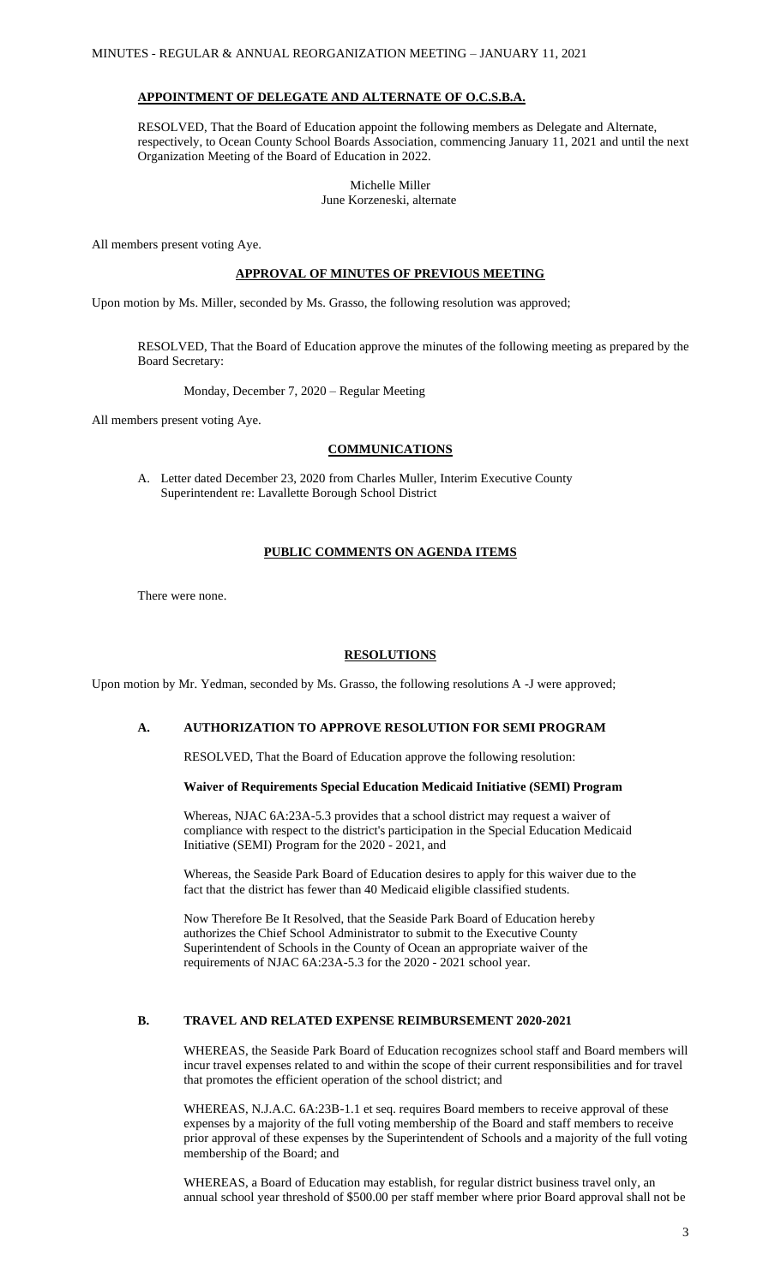# **APPOINTMENT OF DELEGATE AND ALTERNATE OF O.C.S.B.A.**

RESOLVED, That the Board of Education appoint the following members as Delegate and Alternate, respectively, to Ocean County School Boards Association, commencing January 11, 2021 and until the next Organization Meeting of the Board of Education in 2022.

Michelle Miller

June Korzeneski, alternate

All members present voting Aye.

### **APPROVAL OF MINUTES OF PREVIOUS MEETING**

Upon motion by Ms. Miller, seconded by Ms. Grasso, the following resolution was approved;

RESOLVED, That the Board of Education approve the minutes of the following meeting as prepared by the Board Secretary:

Monday, December 7, 2020 – Regular Meeting

All members present voting Aye.

### **COMMUNICATIONS**

A. Letter dated December 23, 2020 from Charles Muller, Interim Executive County Superintendent re: Lavallette Borough School District

### **PUBLIC COMMENTS ON AGENDA ITEMS**

There were none.

## **RESOLUTIONS**

Upon motion by Mr. Yedman, seconded by Ms. Grasso, the following resolutions A -J were approved;

# **A. AUTHORIZATION TO APPROVE RESOLUTION FOR SEMI PROGRAM**

RESOLVED, That the Board of Education approve the following resolution:

### **Waiver of Requirements Special Education Medicaid Initiative (SEMI) Program**

Whereas, NJAC 6A:23A-5.3 provides that a school district may request a waiver of compliance with respect to the district's participation in the Special Education Medicaid Initiative (SEMI) Program for the 2020 - 2021, and

Whereas, the Seaside Park Board of Education desires to apply for this waiver due to the fact that the district has fewer than 40 Medicaid eligible classified students.

Now Therefore Be It Resolved, that the Seaside Park Board of Education hereby authorizes the Chief School Administrator to submit to the Executive County Superintendent of Schools in the County of Ocean an appropriate waiver of the requirements of NJAC 6A:23A-5.3 for the 2020 - 2021 school year.

# **B. TRAVEL AND RELATED EXPENSE REIMBURSEMENT 2020-2021**

WHEREAS, the Seaside Park Board of Education recognizes school staff and Board members will incur travel expenses related to and within the scope of their current responsibilities and for travel that promotes the efficient operation of the school district; and

WHEREAS, N.J.A.C. 6A:23B-1.1 et seq. requires Board members to receive approval of these expenses by a majority of the full voting membership of the Board and staff members to receive prior approval of these expenses by the Superintendent of Schools and a majority of the full voting membership of the Board; and

WHEREAS, a Board of Education may establish, for regular district business travel only, an annual school year threshold of \$500.00 per staff member where prior Board approval shall not be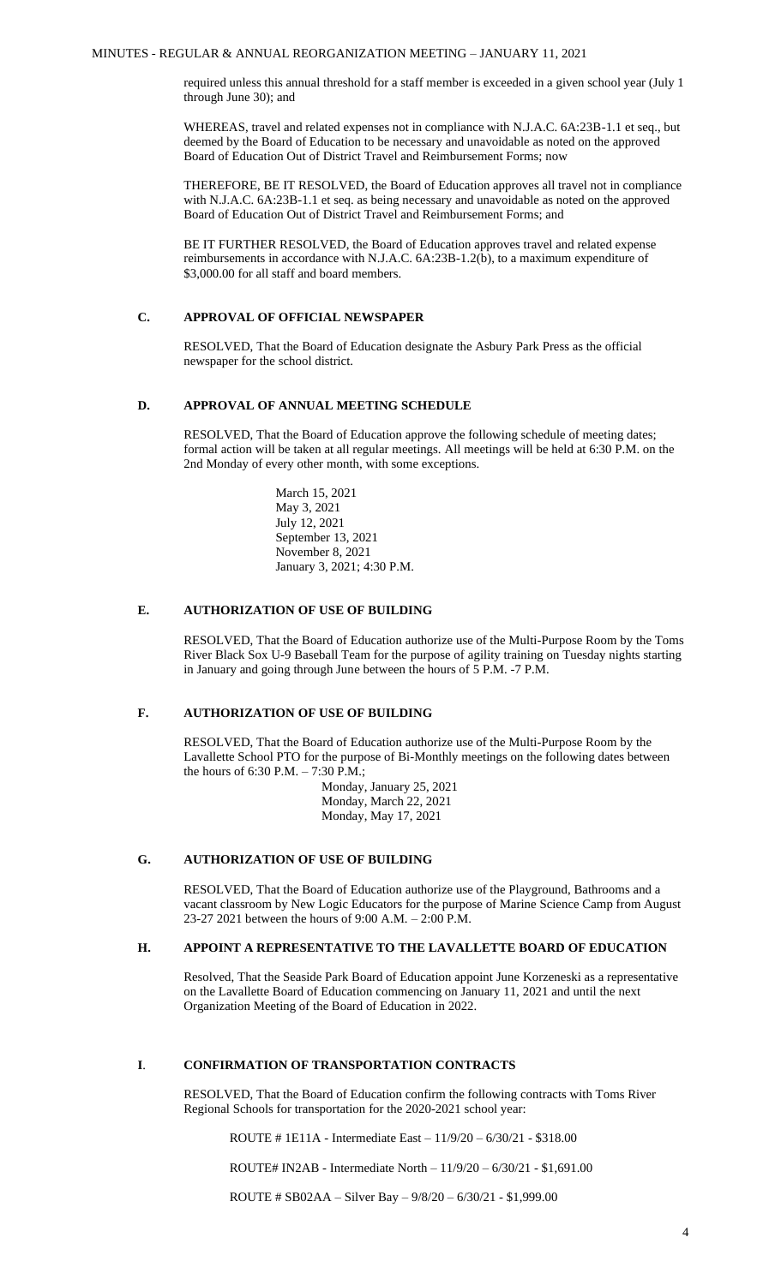required unless this annual threshold for a staff member is exceeded in a given school year (July 1 through June 30); and

WHEREAS, travel and related expenses not in compliance with N.J.A.C. 6A:23B-1.1 et seq., but deemed by the Board of Education to be necessary and unavoidable as noted on the approved Board of Education Out of District Travel and Reimbursement Forms; now

THEREFORE, BE IT RESOLVED, the Board of Education approves all travel not in compliance with N.J.A.C. 6A:23B-1.1 et seq. as being necessary and unavoidable as noted on the approved Board of Education Out of District Travel and Reimbursement Forms; and

BE IT FURTHER RESOLVED, the Board of Education approves travel and related expense reimbursements in accordance with N.J.A.C. 6A:23B-1.2(b), to a maximum expenditure of \$3,000.00 for all staff and board members.

# **C. APPROVAL OF OFFICIAL NEWSPAPER**

RESOLVED, That the Board of Education designate the Asbury Park Press as the official newspaper for the school district.

### **D. APPROVAL OF ANNUAL MEETING SCHEDULE**

RESOLVED, That the Board of Education approve the following schedule of meeting dates; formal action will be taken at all regular meetings. All meetings will be held at 6:30 P.M. on the 2nd Monday of every other month, with some exceptions.

> March 15, 2021 May 3, 2021 July 12, 2021 September 13, 2021 November 8, 2021 January 3, 2021; 4:30 P.M.

# **E. AUTHORIZATION OF USE OF BUILDING**

RESOLVED, That the Board of Education authorize use of the Multi-Purpose Room by the Toms River Black Sox U-9 Baseball Team for the purpose of agility training on Tuesday nights starting in January and going through June between the hours of 5 P.M. -7 P.M.

## **F. AUTHORIZATION OF USE OF BUILDING**

RESOLVED, That the Board of Education authorize use of the Multi-Purpose Room by the Lavallette School PTO for the purpose of Bi-Monthly meetings on the following dates between the hours of 6:30 P.M. – 7:30 P.M.;

> Monday, January 25, 2021 Monday, March 22, 2021 Monday, May 17, 2021

## **G. AUTHORIZATION OF USE OF BUILDING**

RESOLVED, That the Board of Education authorize use of the Playground, Bathrooms and a vacant classroom by New Logic Educators for the purpose of Marine Science Camp from August 23-27 2021 between the hours of 9:00 A.M. – 2:00 P.M.

### **H. APPOINT A REPRESENTATIVE TO THE LAVALLETTE BOARD OF EDUCATION**

Resolved, That the Seaside Park Board of Education appoint June Korzeneski as a representative on the Lavallette Board of Education commencing on January 11, 2021 and until the next Organization Meeting of the Board of Education in 2022.

# **I**. **CONFIRMATION OF TRANSPORTATION CONTRACTS**

RESOLVED, That the Board of Education confirm the following contracts with Toms River Regional Schools for transportation for the 2020-2021 school year:

ROUTE # 1E11A - Intermediate East – 11/9/20 – 6/30/21 - \$318.00

ROUTE# IN2AB - Intermediate North – 11/9/20 – 6/30/21 - \$1,691.00

ROUTE # SB02AA – Silver Bay – 9/8/20 – 6/30/21 - \$1,999.00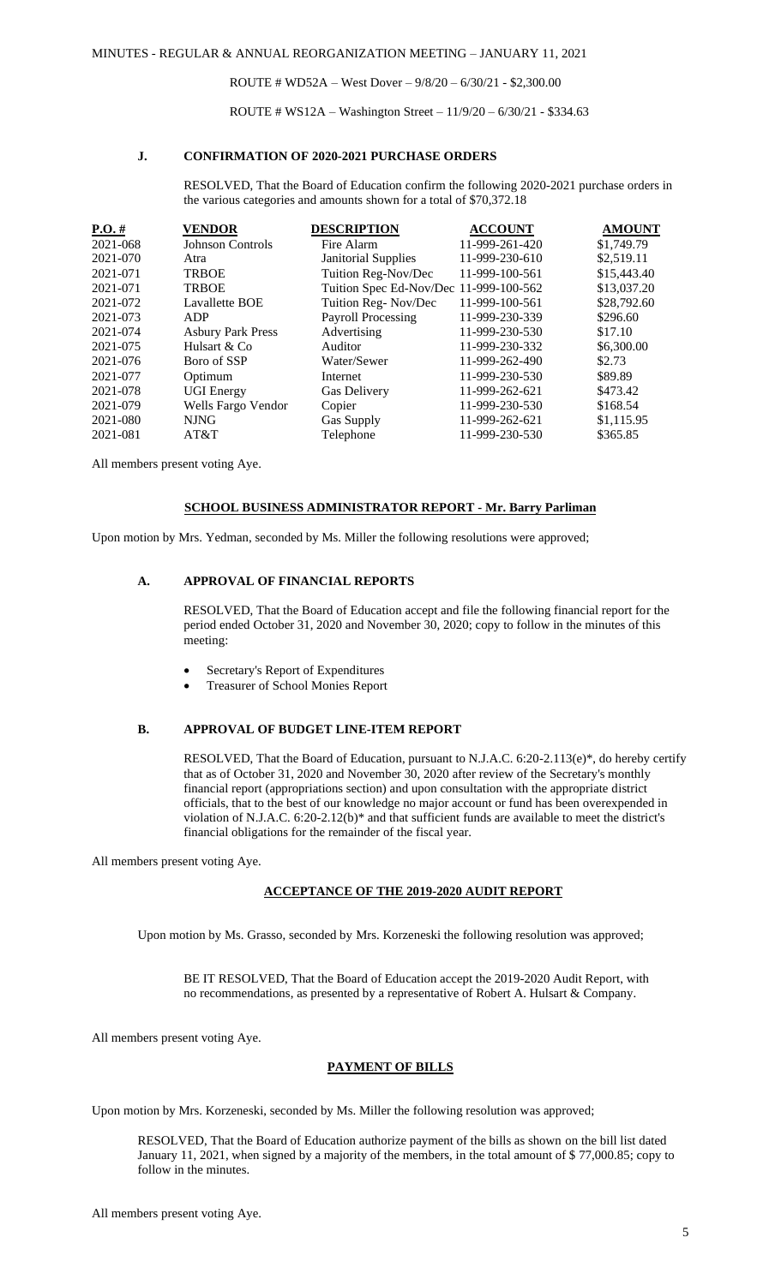ROUTE # WD52A – West Dover – 9/8/20 – 6/30/21 - \$2,300.00

ROUTE # WS12A – Washington Street – 11/9/20 – 6/30/21 - \$334.63

## **J. CONFIRMATION OF 2020-2021 PURCHASE ORDERS**

RESOLVED, That the Board of Education confirm the following 2020-2021 purchase orders in the various categories and amounts shown for a total of \$70,372.18

| $P.O. \#$ | <b>VENDOR</b>            | <b>DESCRIPTION</b>                     | <b>ACCOUNT</b> | <b>AMOUNT</b> |
|-----------|--------------------------|----------------------------------------|----------------|---------------|
| 2021-068  | Johnson Controls         | Fire Alarm                             | 11-999-261-420 | \$1,749.79    |
| 2021-070  | Atra                     | <b>Janitorial Supplies</b>             | 11-999-230-610 | \$2,519.11    |
| 2021-071  | <b>TRBOE</b>             | Tuition Reg-Nov/Dec                    | 11-999-100-561 | \$15,443.40   |
| 2021-071  | <b>TRBOE</b>             | Tuition Spec Ed-Nov/Dec 11-999-100-562 |                | \$13,037.20   |
| 2021-072  | Lavallette BOE           | Tuition Reg-Nov/Dec                    | 11-999-100-561 | \$28,792.60   |
| 2021-073  | ADP                      | <b>Payroll Processing</b>              | 11-999-230-339 | \$296.60      |
| 2021-074  | <b>Asbury Park Press</b> | Advertising                            | 11-999-230-530 | \$17.10       |
| 2021-075  | Hulsart & Co             | Auditor                                | 11-999-230-332 | \$6,300.00    |
| 2021-076  | Boro of SSP              | Water/Sewer                            | 11-999-262-490 | \$2.73        |
| 2021-077  | Optimum                  | Internet                               | 11-999-230-530 | \$89.89       |
| 2021-078  | <b>UGI Energy</b>        | Gas Delivery                           | 11-999-262-621 | \$473.42      |
| 2021-079  | Wells Fargo Vendor       | Copier                                 | 11-999-230-530 | \$168.54      |
| 2021-080  | <b>NJNG</b>              | <b>Gas Supply</b>                      | 11-999-262-621 | \$1,115.95    |
| 2021-081  | AT&T                     | Telephone                              | 11-999-230-530 | \$365.85      |
|           |                          |                                        |                |               |

All members present voting Aye.

### **SCHOOL BUSINESS ADMINISTRATOR REPORT - Mr. Barry Parliman**

Upon motion by Mrs. Yedman, seconded by Ms. Miller the following resolutions were approved;

### **A. APPROVAL OF FINANCIAL REPORTS**

RESOLVED, That the Board of Education accept and file the following financial report for the period ended October 31, 2020 and November 30, 2020; copy to follow in the minutes of this meeting:

- Secretary's Report of Expenditures
- Treasurer of School Monies Report

## **B. APPROVAL OF BUDGET LINE-ITEM REPORT**

RESOLVED, That the Board of Education, pursuant to N.J.A.C. 6:20-2.113(e)\*, do hereby certify that as of October 31, 2020 and November 30, 2020 after review of the Secretary's monthly financial report (appropriations section) and upon consultation with the appropriate district officials, that to the best of our knowledge no major account or fund has been overexpended in violation of N.J.A.C. 6:20-2.12(b)\* and that sufficient funds are available to meet the district's financial obligations for the remainder of the fiscal year.

All members present voting Aye.

#### **ACCEPTANCE OF THE 2019-2020 AUDIT REPORT**

Upon motion by Ms. Grasso, seconded by Mrs. Korzeneski the following resolution was approved;

BE IT RESOLVED, That the Board of Education accept the 2019-2020 Audit Report, with no recommendations, as presented by a representative of Robert A. Hulsart & Company.

All members present voting Aye.

# **PAYMENT OF BILLS**

Upon motion by Mrs. Korzeneski, seconded by Ms. Miller the following resolution was approved;

RESOLVED, That the Board of Education authorize payment of the bills as shown on the bill list dated January 11, 2021, when signed by a majority of the members, in the total amount of \$ 77,000.85; copy to follow in the minutes.